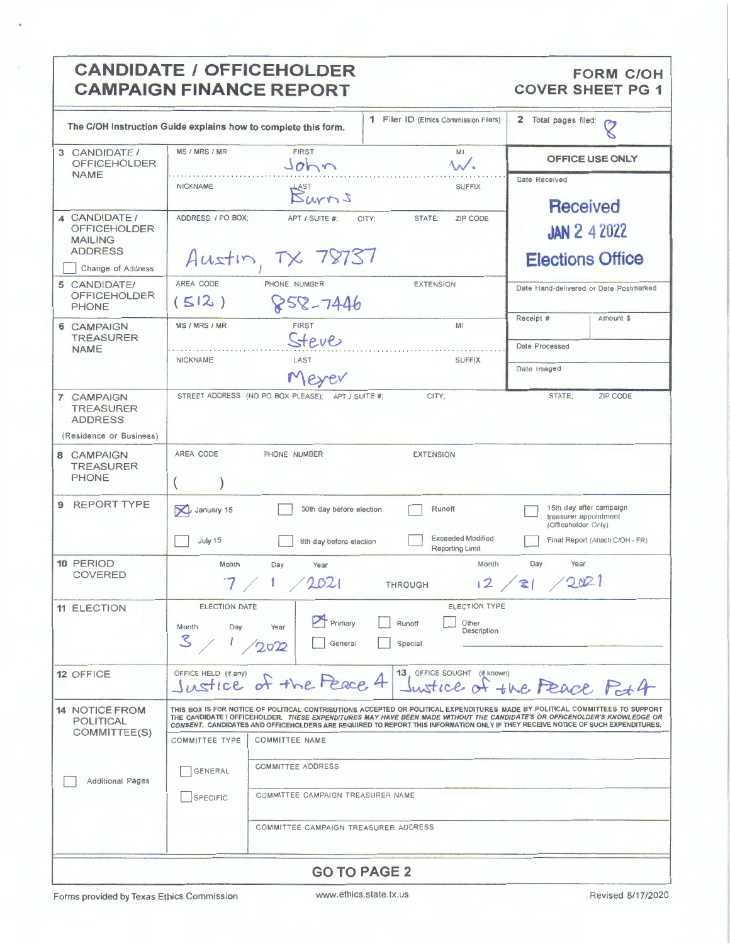|                                                                               | <b>CANDIDATE / OFFICEHOLDER</b><br><b>CAMPAIGN FINANCE REPORT</b>                                                                                                                                                                                                                                                                                                                                                                                                                                                                                                                      | <b>FORM C/OH</b><br><b>COVER SHEET PG 1</b>                                                                |
|-------------------------------------------------------------------------------|----------------------------------------------------------------------------------------------------------------------------------------------------------------------------------------------------------------------------------------------------------------------------------------------------------------------------------------------------------------------------------------------------------------------------------------------------------------------------------------------------------------------------------------------------------------------------------------|------------------------------------------------------------------------------------------------------------|
| The C/OH Instruction Guide explains how to complete this form.                | 1 Filer ID (Ethics Commission Filers)<br>2 Total pages filed:<br>$\circ$                                                                                                                                                                                                                                                                                                                                                                                                                                                                                                               |                                                                                                            |
| 3 CANDIDATE/<br><b>OFFICEHOLDER</b>                                           | MS / MRS / MR<br><b>FIRST</b><br>M1<br>John<br><b>An/a</b>                                                                                                                                                                                                                                                                                                                                                                                                                                                                                                                             | <b>OFFICE USE ONLY</b>                                                                                     |
| <b>NAME</b>                                                                   | <b>NICKNAME</b><br><b>SUFFIX</b><br>$\mathcal{B}_{\text{MNN}}^{\text{asr}}$                                                                                                                                                                                                                                                                                                                                                                                                                                                                                                            | Date Received<br><b>Received</b>                                                                           |
| 4 CANDIDATE /<br><b>OFFICEHOLDER</b><br><b>MAILING</b><br><b>ADDRESS</b>      | ADDRESS / PO BOX:<br>APT / SUITE #:<br>CITY:<br>STATE:<br>ZIP CODE<br>Austin, $TX$ 78737                                                                                                                                                                                                                                                                                                                                                                                                                                                                                               | <b>JAN 2 4 2022</b><br><b>Elections Office</b>                                                             |
| Change of Address<br>5 CANDIDATE/<br><b>OFFICEHOLDER</b><br><b>PHONE</b>      | AREA CODE<br>PHONE NUMBER<br><b>EXTENSION</b><br>(512)<br>858-7446                                                                                                                                                                                                                                                                                                                                                                                                                                                                                                                     | Date Hand-delivered or Date Postmarked                                                                     |
| 6 CAMPAIGN<br><b>TREASURER</b><br><b>NAME</b>                                 | MS / MRS / MR<br><b>FIRST</b><br>MI<br>Steve<br>NICKNAME<br>LAST<br><b>SUFFIX</b><br>Merev                                                                                                                                                                                                                                                                                                                                                                                                                                                                                             | Receipt #<br>Amount \$<br>Date Processed<br>Date Imaged                                                    |
| 7 CAMPAIGN<br><b>TREASURER</b><br><b>ADDRESS</b>                              | STREET ADDRESS (NO PO BOX PLEASE); APT / SUITE #;<br>CITY;                                                                                                                                                                                                                                                                                                                                                                                                                                                                                                                             | STATE;<br>ZIP CODE                                                                                         |
| (Residence or Business)<br>8 CAMPAIGN<br><b>TREASURER</b><br><b>PHONE</b>     | AREA CODE<br>PHONE NUMBER<br><b>EXTENSION</b>                                                                                                                                                                                                                                                                                                                                                                                                                                                                                                                                          |                                                                                                            |
| <b>REPORT TYPE</b><br>9                                                       | January 15<br>30th day before election<br>Runoff<br><b>Exceeded Modified</b><br>July 15<br>8th day before election<br>Reporting Limit                                                                                                                                                                                                                                                                                                                                                                                                                                                  | 15th day after campaign<br>treasurer appointment<br>(Officeholder Only)<br>Final Report (Attach C/OH - FR) |
| 10 PERIOD<br><b>COVERED</b>                                                   | Month<br>Month<br>Day<br>Year<br>2021<br>12<br><b>THROUGH</b>                                                                                                                                                                                                                                                                                                                                                                                                                                                                                                                          | Day<br>Year<br>2021<br>31                                                                                  |
| <b>11 ELECTION</b>                                                            | ELECTION TYPE<br><b>ELECTION DATE</b><br>Primary<br>Runoff<br>Other<br>Year<br>Month<br>Day<br>Description<br>3/<br>General<br>Special<br>2022                                                                                                                                                                                                                                                                                                                                                                                                                                         |                                                                                                            |
| 12 OFFICE                                                                     | 13 OFFICE SOUGHT (if known)<br>OFFICE HELD (if any)<br>Justice of the Peace 4<br>ustice                                                                                                                                                                                                                                                                                                                                                                                                                                                                                                | of the Feace Pot 4                                                                                         |
| <b>14 NOTICE FROM</b><br><b>POLITICAL</b><br>COMMITTEE(S)<br>Additional Pages | THIS BOX IS FOR NOTICE OF POLITICAL CONTRIBUTIONS ACCEPTED OR POLITICAL EXPENDITURES MADE BY POLITICAL COMMITTEES TO SUPPORT<br>THE CANDIDATE / OFFICEHOLDER. THESE EXPENDITURES MAY HAVE BEEN MADE WITHOUT THE CANDIDATE'S OR OFFICEHOLDER'S KNOWLEDGE OR<br>CONSENT. CANDIDATES AND OFFICEHOLDERS ARE REQUIRED TO REPORT THIS INFORMATION ONLY IF THEY RECEIVE NOTICE OF SUCH EXPENDITURES.<br><b>COMMITTEE NAME</b><br><b>COMMITTEE TYPE</b><br><b>COMMITTEE ADDRESS</b><br>GENERAL<br>COMMITTEE CAMPAIGN TREASURER NAME<br><b>SPECIFIC</b><br>COMMITTEE CAMPAIGN TREASURER ADDRESS |                                                                                                            |
|                                                                               |                                                                                                                                                                                                                                                                                                                                                                                                                                                                                                                                                                                        |                                                                                                            |

## **GO TO PAGE 2**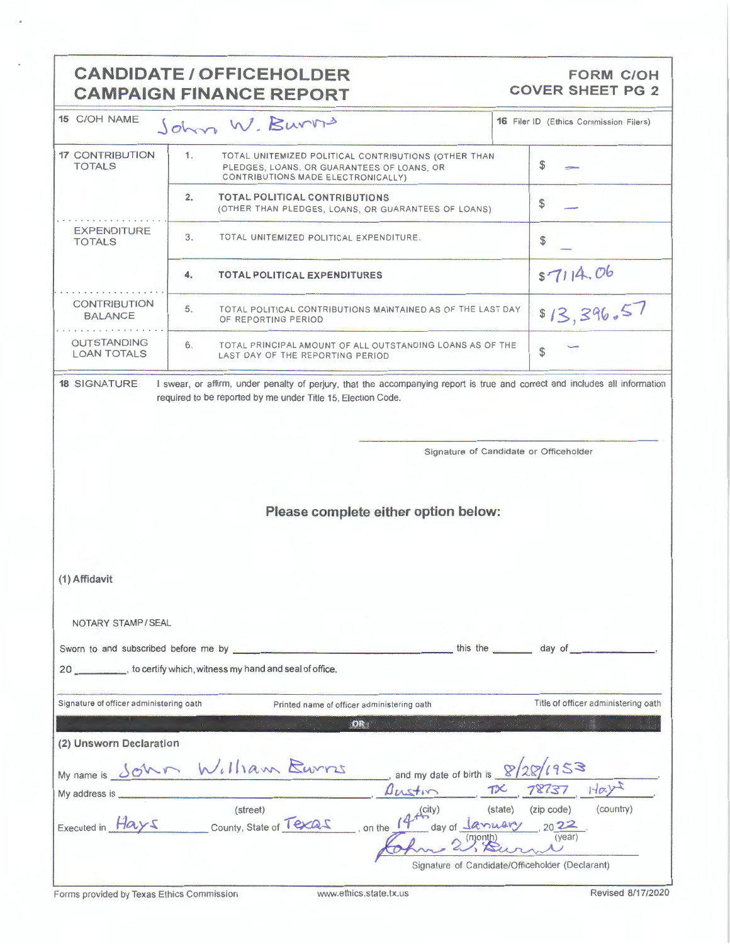|                                          | <b>CANDIDATE / OFFICEHOLDER</b><br><b>CAMPAIGN FINANCE REPORT</b>                                                                              | <b>FORM C/OH</b><br><b>COVER SHEET PG 2</b>                                                                     |  |  |  |
|------------------------------------------|------------------------------------------------------------------------------------------------------------------------------------------------|-----------------------------------------------------------------------------------------------------------------|--|--|--|
| 15 C/OH NAME                             | John W. Burns                                                                                                                                  | <b>16 Filer ID (Ethics Commission Filers)</b>                                                                   |  |  |  |
| <b>17 CONTRIBUTION</b><br><b>TOTALS</b>  | 1.<br>TOTAL UNITEMIZED POLITICAL CONTRIBUTIONS (OTHER THAN<br>PLEDGES, LOANS, OR GUARANTEES OF LOANS, OR<br>CONTRIBUTIONS MADE ELECTRONICALLY) | \$                                                                                                              |  |  |  |
|                                          | 2.<br><b>TOTAL POLITICAL CONTRIBUTIONS</b><br>(OTHER THAN PLEDGES, LOANS, OR GUARANTEES OF LOANS)                                              | \$                                                                                                              |  |  |  |
| <b>EXPENDITURE</b><br><b>TOTALS</b>      | 3.<br>TOTAL UNITEMIZED POLITICAL EXPENDITURE.                                                                                                  | \$                                                                                                              |  |  |  |
|                                          | 4.<br><b>TOTAL POLITICAL EXPENDITURES</b>                                                                                                      | \$7114.06                                                                                                       |  |  |  |
| <b>CONTRIBUTION</b><br><b>BALANCE</b>    | 5.<br>TOTAL POLITICAL CONTRIBUTIONS MAINTAINED AS OF THE LAST DAY<br>OF REPORTING PERIOD                                                       | \$13,396.57                                                                                                     |  |  |  |
| <b>OUTSTANDING</b><br><b>LOAN TOTALS</b> | 6.<br>TOTAL PRINCIPAL AMOUNT OF ALL OUTSTANDING LOANS AS OF THE<br>LAST DAY OF THE REPORTING PERIOD                                            | \$                                                                                                              |  |  |  |
|                                          | required to be reported by me under Title 15, Election Code.                                                                                   | Signature of Candidate or Officeholder                                                                          |  |  |  |
| Please complete either option below:     |                                                                                                                                                |                                                                                                                 |  |  |  |
| (1) Affidavit                            |                                                                                                                                                |                                                                                                                 |  |  |  |
| NOTARY STAMP / SEAL                      |                                                                                                                                                |                                                                                                                 |  |  |  |
|                                          | 20 __________, to certify which, witness my hand and seal of office.                                                                           |                                                                                                                 |  |  |  |
|                                          |                                                                                                                                                |                                                                                                                 |  |  |  |
| Signature of officer administering oath  | Printed name of officer administering oath                                                                                                     | Title of officer administering oath                                                                             |  |  |  |
| (2) Unsworn Declaration                  | OR                                                                                                                                             |                                                                                                                 |  |  |  |
|                                          | My name is SOMM William Euros<br>and my date of birth is $\sqrt{28/1953}$                                                                      |                                                                                                                 |  |  |  |
| My address is ___                        | Austin                                                                                                                                         | $TX$ 78737 Hay                                                                                                  |  |  |  |
|                                          | (street)<br>(city)<br>Executed in Hays county, State of Texas on the 14 <sup>+</sup>                                                           | (state) (zip code)<br>(country)<br>day of $\frac{1}{x}$ 2022<br>Signature of Candidate/Officeholder (Declarant) |  |  |  |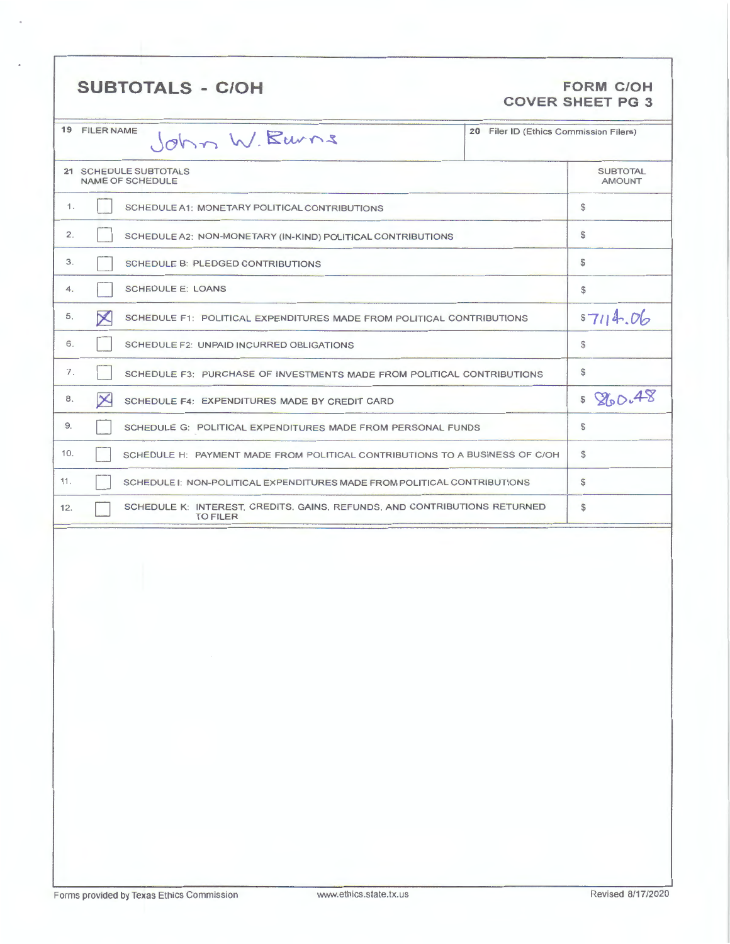## SUBTOTALS - C/OH FORM C/OH

## **COVER SHEET PG 3**

|     | 19 FILER NAME         | John W. Banns                                                                                | 20 Filer ID (Ethics Commission Filers) |                                  |
|-----|-----------------------|----------------------------------------------------------------------------------------------|----------------------------------------|----------------------------------|
|     |                       | 21 SCHEDULE SUBTOTALS<br><b>NAME OF SCHEDULE</b>                                             |                                        | <b>SUBTOTAL</b><br><b>AMOUNT</b> |
| 1.  |                       | SCHEDULE A1: MONETARY POLITICAL CONTRIBUTIONS                                                |                                        | $\mathbb{S}$                     |
| 2.  |                       | SCHEDULE A2: NON-MONETARY (IN-KIND) POLITICAL CONTRIBUTIONS                                  |                                        | \$                               |
| 3.  |                       | SCHEDULE B: PLEDGED CONTRIBUTIONS                                                            |                                        | \$                               |
| 4.  |                       | <b>SCHEDULE E: LOANS</b>                                                                     |                                        | \$                               |
| 5.  | $\boldsymbol{\times}$ | SCHEDULE F1: POLITICAL EXPENDITURES MADE FROM POLITICAL CONTRIBUTIONS                        |                                        | \$7114.06                        |
| 6.  |                       | SCHEDULE F2: UNPAID INCURRED OBLIGATIONS                                                     |                                        | \$                               |
| 7.  |                       | SCHEDULE F3: PURCHASE OF INVESTMENTS MADE FROM POLITICAL CONTRIBUTIONS                       |                                        | $\mathbb{S}$                     |
| 8.  | $\times$              | SCHEDULE F4: EXPENDITURES MADE BY CREDIT CARD                                                |                                        | \$860.48                         |
| 9.  |                       | SCHEDULE G: POLITICAL EXPENDITURES MADE FROM PERSONAL FUNDS                                  |                                        | \$                               |
| 10. |                       | SCHEDULE H: PAYMENT MADE FROM POLITICAL CONTRIBUTIONS TO A BUSINESS OF C/OH                  |                                        | \$                               |
| 11. |                       | SCHEDULE I: NON-POLITICAL EXPENDITURES MADE FROM POLITICAL CONTRIBUTIONS                     |                                        | $\mathbb{S}$                     |
| 12. |                       | SCHEDULE K: INTEREST, CREDITS, GAINS, REFUNDS, AND CONTRIBUTIONS RETURNED<br><b>TO FILER</b> |                                        | \$                               |
|     |                       |                                                                                              |                                        |                                  |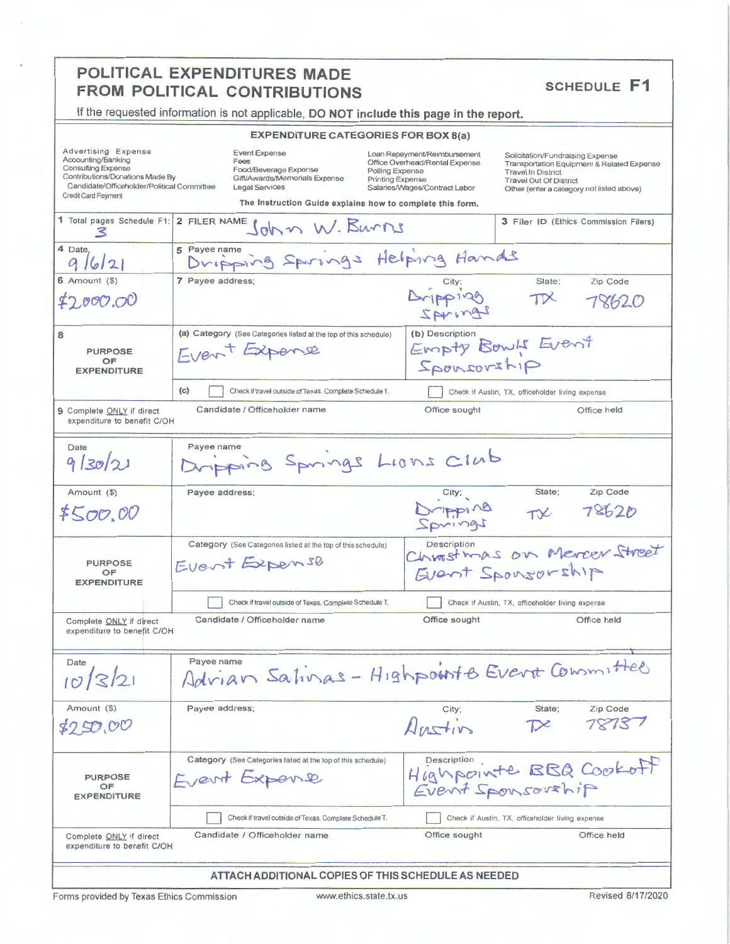# **POLITICAL EXPENDITURES MADE<br>
FROM POLITICAL CONTRIBUTIONS SCHEDULE F1**

**If the requested information is not applicable, DO NOT include this page in the report.** 

### **EXPENDITURE CATEGORIES FOR BOX 8(a)**

| Advertising Expense<br>Accounting/Banking<br><b>Consulting Expense</b><br>Contributions/Donations Made By<br>Candidate/Officeholder/Political Committee<br>Credit Card Payment | CAP CNDITURE UATEGURIES PUR BUA 0(a)<br>Event Expense<br>Fees<br>Food/Beverage Expense<br>Gift/Awards/Memorials Expense<br><b>Legal Services</b><br>The Instruction Guide explains how to complete this form. | Loan Repayment/Reimbursement<br>Office Overhead/Rental Expense<br>Polling Expense<br>Printing Expense<br>Salaries/Wages/Contract Labor | Solicitation/Fundraising Expense<br>Transportation Equipment & Related Expense<br><b>Travel In District</b><br><b>Travel Out Of District</b><br>Other (enter a category not listed above) |
|--------------------------------------------------------------------------------------------------------------------------------------------------------------------------------|---------------------------------------------------------------------------------------------------------------------------------------------------------------------------------------------------------------|----------------------------------------------------------------------------------------------------------------------------------------|-------------------------------------------------------------------------------------------------------------------------------------------------------------------------------------------|
| 1 Total pages Schedule F1:<br>3                                                                                                                                                | 2 FILER NAME JOHN W. BUNNS                                                                                                                                                                                    |                                                                                                                                        | 3 Filer ID (Ethics Commission Filers)                                                                                                                                                     |
| 4 Date.<br>9/6/21                                                                                                                                                              | 5 Payee name<br>Dripping Springs Helping Hands                                                                                                                                                                |                                                                                                                                        |                                                                                                                                                                                           |
| $6$ Amount $(9)$<br>\$2,000.00                                                                                                                                                 | 7 Payee address;                                                                                                                                                                                              | Dripping<br>IAMINAS                                                                                                                    | Zip Code<br>State;<br>$T\mathcal{X}$<br>78620                                                                                                                                             |
| 8<br><b>PURPOSE</b><br>OF<br><b>EXPENDITURE</b>                                                                                                                                | (a) Category (See Categories listed at the top of this schedule)<br>Fvert Expense                                                                                                                             | (b) Description<br>girlanogal                                                                                                          | Empty Bowls Event                                                                                                                                                                         |
|                                                                                                                                                                                | (c)<br>Check if travel outside of Texas. Complete Schedule T.                                                                                                                                                 |                                                                                                                                        | Check if Austin, TX, officeholder living expense                                                                                                                                          |
| 9 Complete ONLY if direct<br>expenditure to benefit C/OH                                                                                                                       | Candidate / Officeholder name                                                                                                                                                                                 | Office sought                                                                                                                          | Office held                                                                                                                                                                               |
| Date<br>9/30/21                                                                                                                                                                | Payee name<br>Dripping Springs Lions Club                                                                                                                                                                     |                                                                                                                                        |                                                                                                                                                                                           |
| Amount (\$)<br>\$500.00                                                                                                                                                        | Payee address;                                                                                                                                                                                                | City;<br>Brigger<br>Iprings                                                                                                            | Zip Code<br>State;<br>78620<br>$T^2$                                                                                                                                                      |
| <b>PURPOSE</b><br>OF<br><b>EXPENDITURE</b>                                                                                                                                     | Category (See Categories listed at the top of this schedule)<br>Event Expense                                                                                                                                 | Description                                                                                                                            | Christmas on Mercer Street<br>Event Sponsorship                                                                                                                                           |
|                                                                                                                                                                                | Check if travel outside of Texas. Complete Schedule T.                                                                                                                                                        |                                                                                                                                        | Check if Austin, TX, officeholder living expense                                                                                                                                          |
| Complete ONLY if direct<br>expenditure to benefit C/OH                                                                                                                         | Candidate / Officeholder name                                                                                                                                                                                 | Office sought                                                                                                                          | Office held                                                                                                                                                                               |
| Date<br>$\prime$ $\prime$<br>10/3/21                                                                                                                                           | Payee name<br>Advian Sativas - Highpoints Evert Committee                                                                                                                                                     |                                                                                                                                        |                                                                                                                                                                                           |
| Amount (\$)<br>\$9.DD.OO                                                                                                                                                       | Payee address;                                                                                                                                                                                                | City;<br>Antin                                                                                                                         | Zip Code<br>State;<br>78737                                                                                                                                                               |
| <b>PURPOSE</b><br>OF<br><b>EXPENDITURE</b>                                                                                                                                     | Category (See Categories listed at the top of this schedule)<br>Event Expense                                                                                                                                 | Description                                                                                                                            | Highpointe BBQ Cookoff                                                                                                                                                                    |
|                                                                                                                                                                                | Check if travel outside of Texas. Complete Schedule T.                                                                                                                                                        |                                                                                                                                        | Check if Austin, TX, officeholder living expense                                                                                                                                          |
| Complete ONLY if direct<br>expenditure to benefit C/OH                                                                                                                         | Candidate / Officeholder name                                                                                                                                                                                 | Office sought                                                                                                                          | Office held                                                                                                                                                                               |
|                                                                                                                                                                                | ATTACH ADDITIONAL COPIES OF THIS SCHEDULE AS NEEDED                                                                                                                                                           |                                                                                                                                        |                                                                                                                                                                                           |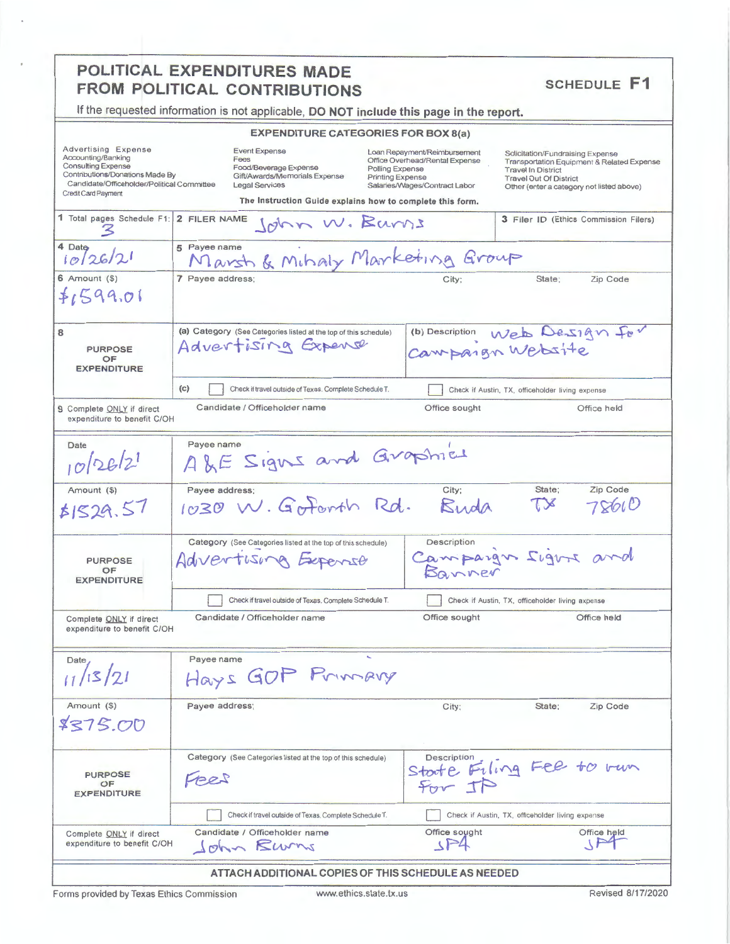## POLITICAL EXPENDITURES MADE FROM POLITICAL CONTRIBUTIONS

**SCHEDULE F1** 

| If the requested information is not applicable, DO NOT include this page in the report.                                                                                        |                                                                                                                                                                              |                                                                                                                                               |                                                                                                                                                                                           |  |
|--------------------------------------------------------------------------------------------------------------------------------------------------------------------------------|------------------------------------------------------------------------------------------------------------------------------------------------------------------------------|-----------------------------------------------------------------------------------------------------------------------------------------------|-------------------------------------------------------------------------------------------------------------------------------------------------------------------------------------------|--|
|                                                                                                                                                                                | <b>EXPENDITURE CATEGORIES FOR BOX 8(a)</b>                                                                                                                                   |                                                                                                                                               |                                                                                                                                                                                           |  |
| Advertising Expense<br>Accounting/Banking<br><b>Consulting Expense</b><br>Contributions/Donations Made By<br>Candidate/Officeholder/Political Committee<br>Credit Card Payment | <b>Event Expense</b><br>Fees<br>Food/Beverage Expense<br>Gift/Awards/Memorials Expense<br><b>Legal Services</b><br>The Instruction Guide explains how to complete this form. | Loan Repayment/Reimbursement<br>Office Overhead/Rental Expense<br>Polling Expense<br><b>Printing Expense</b><br>Salaries/Wages/Contract Labor | Solicitation/Fundraising Expense<br>Transportation Equipment & Related Expense<br><b>Travel In District</b><br><b>Travel Out Of District</b><br>Other (enter a category not listed above) |  |
| 1 Total pages Schedule F1:                                                                                                                                                     | 2 FILER NAME<br>John W. Barns                                                                                                                                                |                                                                                                                                               | 3 Filer ID (Ethics Commission Filers)                                                                                                                                                     |  |
| 4 Date<br>10[26/2]                                                                                                                                                             | 5 Payee name<br>Marsh & Mihaly Marketing Group                                                                                                                               |                                                                                                                                               |                                                                                                                                                                                           |  |
| $6$ Amount $(9)$<br>71599.01                                                                                                                                                   | 7 Payee address;                                                                                                                                                             | City:                                                                                                                                         | State;<br>Zip Code                                                                                                                                                                        |  |
| 8<br><b>PURPOSE</b><br>OF<br><b>EXPENDITURE</b>                                                                                                                                | (a) Category (See Categories listed at the top of this schedule)<br>Advertising Expense                                                                                      | Campaign Website                                                                                                                              | (b) Description Web Design for                                                                                                                                                            |  |
|                                                                                                                                                                                | (c)<br>Check if travel outside of Texas. Complete Schedule T.                                                                                                                |                                                                                                                                               | Check if Austin, TX, officeholder living expense                                                                                                                                          |  |
| 9 Complete ONLY if direct<br>expenditure to benefit C/OH                                                                                                                       | Candidate / Officeholder name                                                                                                                                                | Office sought                                                                                                                                 | Office held                                                                                                                                                                               |  |
| Date<br>$10^{262}$                                                                                                                                                             | Payee name<br>ALE Signs and Graphies                                                                                                                                         |                                                                                                                                               |                                                                                                                                                                                           |  |
| Amount (\$)<br>51529.57                                                                                                                                                        | Payee address;<br>1030 W. Gorforth Rd.                                                                                                                                       | City;<br>Buda                                                                                                                                 | Zip Code<br>State;<br>7861O<br>$\mathcal{X}$                                                                                                                                              |  |
| <b>PURPOSE</b><br>OF<br><b>EXPENDITURE</b>                                                                                                                                     | Category (See Categories listed at the top of this schedule)<br>Advertising Expense                                                                                          | Description<br>Banner                                                                                                                         | Campaign Sigure and                                                                                                                                                                       |  |
|                                                                                                                                                                                | Check if travel outside of Texas. Complete Schedule T.                                                                                                                       |                                                                                                                                               | Check if Austin, TX, officeholder living axpense                                                                                                                                          |  |
| Complete ONLY if direct<br>expenditure to benefit C/OH                                                                                                                         | Candidate / Officeholder name                                                                                                                                                | Office sought                                                                                                                                 | Office held                                                                                                                                                                               |  |
| Date<br>11/13/21                                                                                                                                                               | Payee name<br>Hays GOP Primary                                                                                                                                               |                                                                                                                                               |                                                                                                                                                                                           |  |
| Amount (\$)<br>\$375.00                                                                                                                                                        | Payee address;                                                                                                                                                               | City;                                                                                                                                         | State;<br>Zip Code                                                                                                                                                                        |  |
| <b>PURPOSE</b><br>OF<br><b>EXPENDITURE</b>                                                                                                                                     | Category (See Categories listed at the top of this schedule)<br>FEES                                                                                                         | Description<br>$F_{\text{top}}$ $T$                                                                                                           | State Filing Fee to run                                                                                                                                                                   |  |
|                                                                                                                                                                                | Check if travel outside of Texas. Complete Schedule T.                                                                                                                       |                                                                                                                                               | Check if Austin, TX, officeholder living expense                                                                                                                                          |  |
| Complete ONLY if direct<br>expenditure to benefit C/OH                                                                                                                         | Candidate / Officeholder name<br>John Rums                                                                                                                                   | Office sought<br>$15 - 4$                                                                                                                     | Office held<br>$\Lambda$                                                                                                                                                                  |  |

ATTACH ADDITIONAL COPIES OF THIS SCHEDULE AS NEEDED

Forms provided by Texas Ethics Commission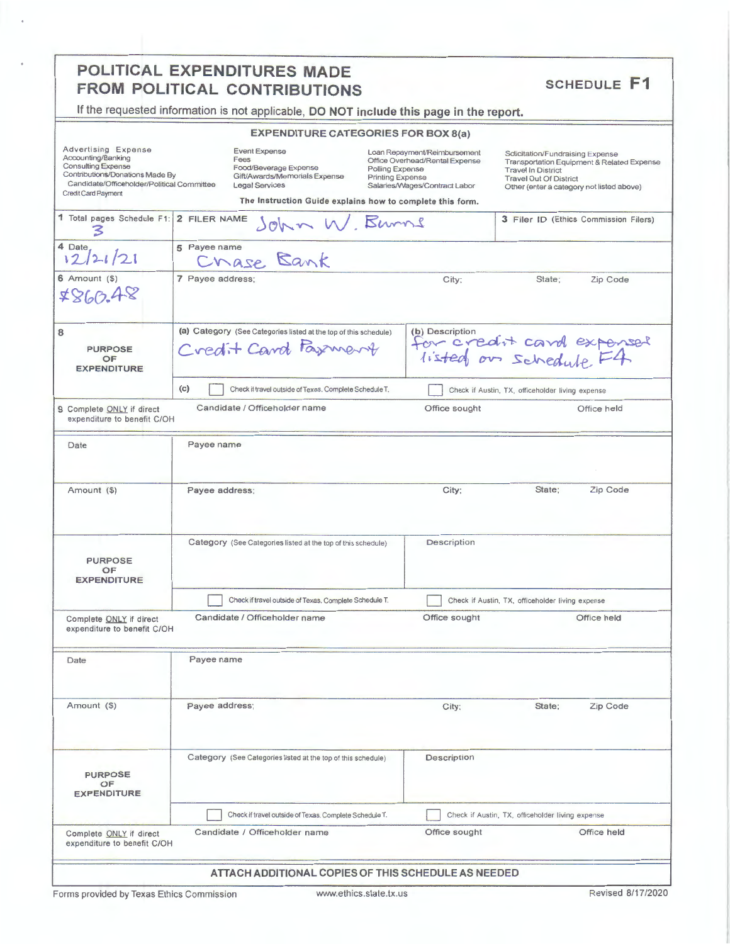## POLITICAL EXPENDITURES MADE FROM POLITICAL CONTRIBUTIONS

**SCHEDULE F1** 

If the requested information is not applicable, DO NOT include this page in the report.

| <b>EXPENDITURE CATEGORIES FOR BOX 8(a)</b> |  |
|--------------------------------------------|--|
|                                            |  |

| Advertising Expense<br>Accounting/Banking<br><b>Consulting Expense</b><br>Contributions/Donations Made By<br>Candidate/Officeholder/Political Committee<br>Credit Card Payment |                                                        | <b>Event Expense</b><br>Fees<br>Food/Beverage Expense<br>Gift/Awards/Memorials Expense<br><b>Legal Services</b> |               | EXPENDITURE CATEGORIES FOR BOX 8(a)<br>Loan Repayment/Reimbursement<br>Office Overhead/Rental Expense<br>Polling Expense<br>Printing Expense<br>Salaries/Wages/Contract Labor<br>The Instruction Guide explains how to complete this form. | Solicitation/Fundraising Expense<br><b>Travel In District</b><br><b>Travel Out Of District</b><br>Other (enter a category not listed above) | Transportation Equipment & Related Expense |  |
|--------------------------------------------------------------------------------------------------------------------------------------------------------------------------------|--------------------------------------------------------|-----------------------------------------------------------------------------------------------------------------|---------------|--------------------------------------------------------------------------------------------------------------------------------------------------------------------------------------------------------------------------------------------|---------------------------------------------------------------------------------------------------------------------------------------------|--------------------------------------------|--|
| 1 Total pages Schedule F1:<br>3                                                                                                                                                | 2 FILER NAME                                           |                                                                                                                 | John W. Burns |                                                                                                                                                                                                                                            |                                                                                                                                             | 3 Filer ID (Ethics Commission Filers)      |  |
| 4 Date<br>12/21/21                                                                                                                                                             | 5 Payee name                                           | Chase Bank                                                                                                      |               |                                                                                                                                                                                                                                            |                                                                                                                                             |                                            |  |
| $6$ Amount $(5)$<br>7860.48                                                                                                                                                    | 7 Payee address;                                       |                                                                                                                 |               | City;                                                                                                                                                                                                                                      | State;                                                                                                                                      | Zip Code                                   |  |
| 8<br><b>PURPOSE</b><br>OF<br><b>EXPENDITURE</b>                                                                                                                                |                                                        | (a) Category (See Categories listed at the top of this schedule)<br>Credit Card Pasment                         |               | (b) Description                                                                                                                                                                                                                            | for credit card expensel<br>listed or schedule F4                                                                                           |                                            |  |
|                                                                                                                                                                                | (c)                                                    | Check if travel outside of Texas, Complete Schedule T.                                                          |               |                                                                                                                                                                                                                                            | Check if Austin, TX, officeholder living expense                                                                                            |                                            |  |
| 9 Complete ONLY if direct<br>expenditure to benefit C/OH                                                                                                                       |                                                        | Candidate / Officeholder name                                                                                   |               | Office sought                                                                                                                                                                                                                              |                                                                                                                                             | Office held                                |  |
| Date                                                                                                                                                                           | Payee name                                             |                                                                                                                 |               |                                                                                                                                                                                                                                            |                                                                                                                                             |                                            |  |
| Amount (\$)                                                                                                                                                                    | Payee address;                                         |                                                                                                                 |               | City;                                                                                                                                                                                                                                      | State;                                                                                                                                      | Zip Code                                   |  |
| <b>PURPOSE</b><br>OF<br><b>EXPENDITURE</b>                                                                                                                                     |                                                        | Category (See Categories listed at the top of this schedule)                                                    |               | Description                                                                                                                                                                                                                                |                                                                                                                                             |                                            |  |
|                                                                                                                                                                                | Check if travel outside of Texas. Complete Schedule T. |                                                                                                                 |               | Check if Austin, TX, officeholder living expense                                                                                                                                                                                           |                                                                                                                                             |                                            |  |
| Complete ONLY if direct<br>expenditure to benefit C/OH                                                                                                                         |                                                        | Candidate / Officeholder name                                                                                   |               | Office sought                                                                                                                                                                                                                              |                                                                                                                                             | Office held                                |  |
| Date                                                                                                                                                                           | Payee name                                             |                                                                                                                 |               |                                                                                                                                                                                                                                            |                                                                                                                                             |                                            |  |
| Amount (\$)                                                                                                                                                                    | Payee address;                                         |                                                                                                                 |               | City;                                                                                                                                                                                                                                      | State;                                                                                                                                      | Zip Code                                   |  |
|                                                                                                                                                                                |                                                        | Category (See Categories listed at the top of this schedule)                                                    |               | Description                                                                                                                                                                                                                                |                                                                                                                                             |                                            |  |
| <b>PURPOSE</b><br>OF<br><b>EXPENDITURE</b>                                                                                                                                     |                                                        | Check if travel outside of Texas. Complete Schedule T.                                                          |               |                                                                                                                                                                                                                                            | Check if Austin, TX, officeholder living expense                                                                                            |                                            |  |
|                                                                                                                                                                                |                                                        |                                                                                                                 |               |                                                                                                                                                                                                                                            |                                                                                                                                             |                                            |  |

Forms provided by Texas Ethics Commission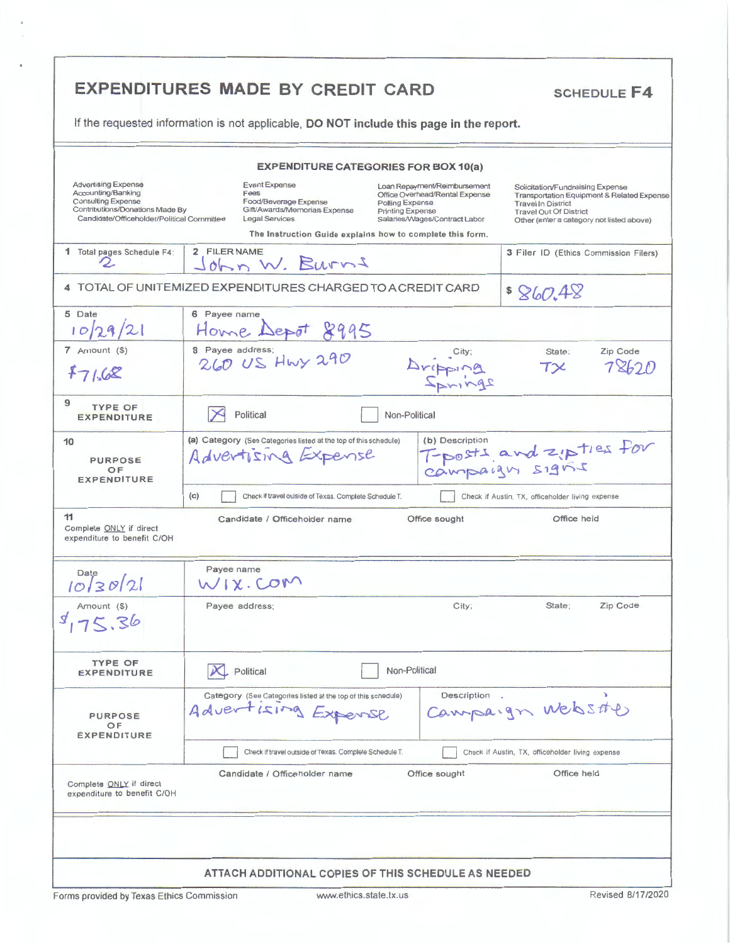|                                                                                                                                                                | If the requested information is not applicable, DO NOT include this page in the report.                  |                                                                                                  |                                                                                                 |                                                                                                                                                                                           |                   |  |  |
|----------------------------------------------------------------------------------------------------------------------------------------------------------------|----------------------------------------------------------------------------------------------------------|--------------------------------------------------------------------------------------------------|-------------------------------------------------------------------------------------------------|-------------------------------------------------------------------------------------------------------------------------------------------------------------------------------------------|-------------------|--|--|
|                                                                                                                                                                |                                                                                                          | <b>EXPENDITURE CATEGORIES FOR BOX 10(a)</b>                                                      |                                                                                                 |                                                                                                                                                                                           |                   |  |  |
| <b>Advertising Expense</b><br>Accounting/Banking<br><b>Consulting Expense</b><br>Contributions/Donations Made By<br>Candidate/Officeholder/Political Committee | <b>Event Expense</b><br>Fees<br>Food/Beverage Expense<br>Gift/Awards/Memorials Expense<br>Legal Services | Polling Expense<br>Printing Expense<br>The Instruction Guide explains how to complete this form. | Loan Repayment/Reimbursement<br>Office Overhead/Rental Expense<br>Salaries/Wages/Contract Labor | Solicitation/Fundraising Expense<br>Transportation Equipment & Related Expense<br><b>Travel In District</b><br><b>Travel Out Of District</b><br>Other (enter a category not listed above) |                   |  |  |
| 1 Total pages Schedule F4:<br>2                                                                                                                                | 2 FILER NAME<br>John W. Burns                                                                            |                                                                                                  |                                                                                                 | 3 Filer ID (Ethics Commission Filers)                                                                                                                                                     |                   |  |  |
|                                                                                                                                                                | 4 TOTAL OF UNITEMIZED EXPENDITURES CHARGED TO A CREDIT CARD                                              |                                                                                                  |                                                                                                 | \$860.48                                                                                                                                                                                  |                   |  |  |
| 5 Date<br>10 29/21                                                                                                                                             | 6 Payee name<br>Home Depot 8995                                                                          |                                                                                                  |                                                                                                 |                                                                                                                                                                                           |                   |  |  |
| 7 Amount (\$)<br>7168                                                                                                                                          | 8 Payee address;<br>260 US Hwy 290                                                                       |                                                                                                  | Aripping                                                                                        | State:<br>$T\times$                                                                                                                                                                       | Zip Code<br>フヌトフハ |  |  |
| 9<br><b>TYPE OF</b><br><b>EXPENDITURE</b>                                                                                                                      | Political                                                                                                | Non-Political                                                                                    |                                                                                                 |                                                                                                                                                                                           |                   |  |  |
| 10<br><b>PURPOSE</b><br>OF<br><b>EXPENDITURE</b>                                                                                                               | (a) Category (See Categories listed at the top of this schedule)<br>Advertising Expense                  |                                                                                                  | (b) Description                                                                                 | T-posts and zipties for                                                                                                                                                                   |                   |  |  |
| 11<br>Complete ONLY if direct                                                                                                                                  | (c)<br>Check if travel outside of Texas, Complete Schedule T.<br>Candidate / Officeholder name           |                                                                                                  | Office sought                                                                                   | Check if Austin, TX, officeholder living expense<br>Office held                                                                                                                           |                   |  |  |
| expenditure to benefit C/OH                                                                                                                                    |                                                                                                          |                                                                                                  |                                                                                                 |                                                                                                                                                                                           |                   |  |  |
| 10 30 21                                                                                                                                                       | Payee name<br>WIX.COM                                                                                    |                                                                                                  |                                                                                                 |                                                                                                                                                                                           |                   |  |  |
| Amount (\$)<br>75,36                                                                                                                                           | Payee address;                                                                                           |                                                                                                  | City;                                                                                           | State:                                                                                                                                                                                    | Zip Code          |  |  |
| <b>TYPE OF</b><br><b>EXPENDITURE</b>                                                                                                                           | Political                                                                                                | Non-Political                                                                                    |                                                                                                 |                                                                                                                                                                                           |                   |  |  |
| <b>PURPOSE</b><br>OF                                                                                                                                           | Category (See Categories listed at the top of this schedule)<br>Advertising Expense                      |                                                                                                  | Description.                                                                                    | Campaign Webstte                                                                                                                                                                          |                   |  |  |
| <b>EXPENDITURE</b>                                                                                                                                             | Check if travel outside of Texas. Complete Schedule T.                                                   |                                                                                                  |                                                                                                 | Check if Austin, TX, officeholder living expense                                                                                                                                          |                   |  |  |
| Complete ONLY if direct<br>expenditure to benefit C/OH                                                                                                         | Candidate / Officeholder name                                                                            |                                                                                                  | Office sought                                                                                   | Office held                                                                                                                                                                               |                   |  |  |